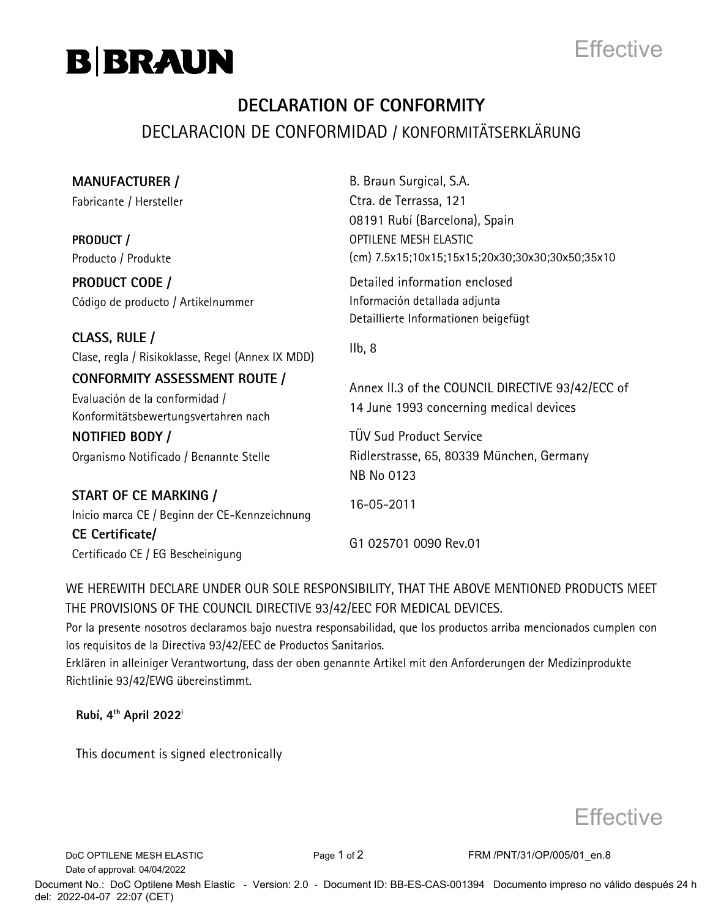



## **DECLARATION OF CONFORMITY** DECLARACION DE CONFORMIDAD / KONFORMITÄTSERKLÄRUNG

| <b>MANUFACTURER /</b>                                                                                          | B. Braun Surgical, S.A.                                                                     |
|----------------------------------------------------------------------------------------------------------------|---------------------------------------------------------------------------------------------|
| Fabricante / Hersteller                                                                                        | Ctra. de Terrassa, 121<br>08191 Rubí (Barcelona), Spain                                     |
| PRODUCT /                                                                                                      | <b>OPTILENE MESH ELASTIC</b>                                                                |
| Producto / Produkte                                                                                            | (cm) 7.5x15;10x15;15x15;20x30;30x30;30x50;35x10                                             |
| <b>PRODUCT CODE /</b>                                                                                          | Detailed information enclosed                                                               |
| Código de producto / Artikelnummer                                                                             | Información detallada adjunta<br>Detaillierte Informationen beigefügt                       |
| CLASS, RULE /<br>Clase, regla / Risikoklasse, Regel (Annex IX MDD)                                             | Ilb, 8                                                                                      |
| <b>CONFORMITY ASSESSMENT ROUTE /</b><br>Evaluación de la conformidad /<br>Konformitätsbewertungsvertahren nach | Annex II.3 of the COUNCIL DIRECTIVE 93/42/ECC of<br>14 June 1993 concerning medical devices |
| NOTIFIED BODY /                                                                                                | <b>TÜV Sud Product Service</b>                                                              |
| Organismo Notificado / Benannte Stelle                                                                         | Ridlerstrasse, 65, 80339 München, Germany<br>NB No 0123                                     |
| START OF CE MARKING /<br>Inicio marca CE / Beginn der CE-Kennzeichnung                                         | 16-05-2011                                                                                  |
| CE Certificate/<br>Certificado CE / EG Bescheinigung                                                           | G1 025701 0090 Rev.01                                                                       |

WE HEREWITH DECLARE UNDER OUR SOLE RESPONSIBILITY, THAT THE ABOVE MENTIONED PRODUCTS MEET THE PROVISIONS OF THE COUNCIL DIRECTIVE 93/42/EEC FOR MEDICAL DEVICES.

Por la presente nosotros declaramos bajo nuestra responsabilidad, que los productos arriba mencionados cumplen con los requisitos de la Directiva 93/42/EEC de Productos Sanitarios.

Erklären in alleiniger Verantwortung, dass der oben genannte Artikel mit den Anforderungen der Medizinprodukte Richtlinie 93/42/EWG übereinstimmt.

**Rubí, 4th April 2022<sup>i</sup>**

This document is signed electronically



Date of approval: 04/04/2022

DoC OPTILENE MESH ELASTIC Page 1 of 2 FRM /PNT/31/OP/005/01\_en.8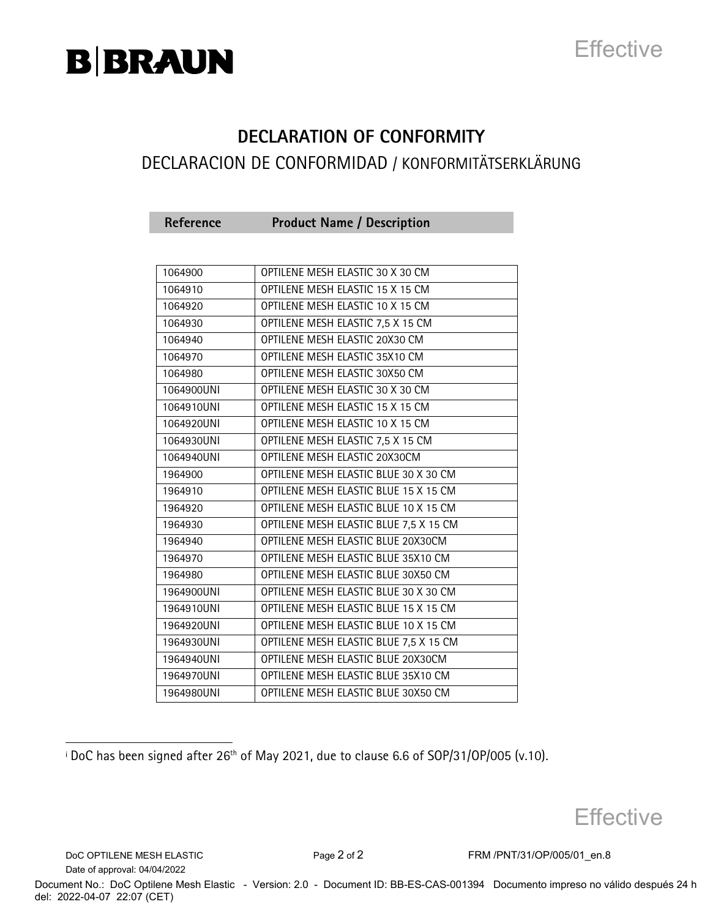# B|BRAUN

## **Effective**

## **DECLARATION OF CONFORMITY** DECLARACION DE CONFORMIDAD / KONFORMITÄTSERKLÄRUNG

| Reference | <b>Product Name / Description</b> |  |
|-----------|-----------------------------------|--|
|-----------|-----------------------------------|--|

| 1064900    | OPTILENE MESH ELASTIC 30 X 30 CM       |
|------------|----------------------------------------|
| 1064910    | OPTILENE MESH ELASTIC 15 X 15 CM       |
| 1064920    | OPTILENE MESH ELASTIC 10 X 15 CM       |
| 1064930    | OPTILENE MESH ELASTIC 7,5 X 15 CM      |
| 1064940    | OPTILENE MESH ELASTIC 20X30 CM         |
| 1064970    | OPTILENE MESH ELASTIC 35X10 CM         |
| 1064980    | OPTILENE MESH ELASTIC 30X50 CM         |
| 1064900UNI | OPTILENE MESH ELASTIC 30 X 30 CM       |
| 1064910UNI | OPTILENE MESH ELASTIC 15 X 15 CM       |
| 1064920UNI | OPTILENE MESH ELASTIC 10 X 15 CM       |
| 1064930UNI | OPTILENE MESH ELASTIC 7,5 X 15 CM      |
| 1064940UNI | OPTILENE MESH ELASTIC 20X30CM          |
| 1964900    | OPTILENE MESH ELASTIC BLUE 30 X 30 CM  |
| 1964910    | OPTILENE MESH ELASTIC BLUE 15 X 15 CM  |
| 1964920    | OPTILENE MESH ELASTIC BLUE 10 X 15 CM  |
| 1964930    | OPTILENE MESH ELASTIC BLUE 7,5 X 15 CM |
| 1964940    | OPTILENE MESH ELASTIC BLUE 20X30CM     |
| 1964970    | OPTILENE MESH ELASTIC BLUE 35X10 CM    |
| 1964980    | OPTILENE MESH ELASTIC BLUE 30X50 CM    |
| 1964900UNI | OPTILENE MESH ELASTIC BLUE 30 X 30 CM  |
| 1964910UNI | OPTILENE MESH ELASTIC BLUE 15 X 15 CM  |
| 1964920UNI | OPTILENE MESH ELASTIC BLUE 10 X 15 CM  |
| 1964930UNI | OPTILENE MESH ELASTIC BLUE 7,5 X 15 CM |
| 1964940UNI | OPTILENE MESH ELASTIC BLUE 20X30CM     |
| 1964970UNI | OPTILENE MESH ELASTIC BLUE 35X10 CM    |
| 1964980UNI | OPTILENE MESH ELASTIC BLUE 30X50 CM    |

**Effective** 

DoC OPTILENE MESH ELASTIC Page 2 of 2 FRM /PNT/31/OP/005/01\_en.8 Date of approval: 04/04/2022

j

 $\frac{1}{100}$  has been signed after 26<sup>th</sup> of May 2021, due to clause 6.6 of SOP/31/OP/005 (v.10).